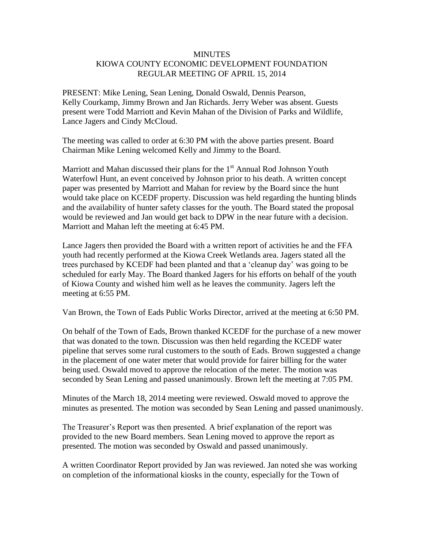## **MINUTES** KIOWA COUNTY ECONOMIC DEVELOPMENT FOUNDATION REGULAR MEETING OF APRIL 15, 2014

PRESENT: Mike Lening, Sean Lening, Donald Oswald, Dennis Pearson, Kelly Courkamp, Jimmy Brown and Jan Richards. Jerry Weber was absent. Guests present were Todd Marriott and Kevin Mahan of the Division of Parks and Wildlife, Lance Jagers and Cindy McCloud.

The meeting was called to order at 6:30 PM with the above parties present. Board Chairman Mike Lening welcomed Kelly and Jimmy to the Board.

Marriott and Mahan discussed their plans for the  $1<sup>st</sup>$  Annual Rod Johnson Youth Waterfowl Hunt, an event conceived by Johnson prior to his death. A written concept paper was presented by Marriott and Mahan for review by the Board since the hunt would take place on KCEDF property. Discussion was held regarding the hunting blinds and the availability of hunter safety classes for the youth. The Board stated the proposal would be reviewed and Jan would get back to DPW in the near future with a decision. Marriott and Mahan left the meeting at 6:45 PM.

Lance Jagers then provided the Board with a written report of activities he and the FFA youth had recently performed at the Kiowa Creek Wetlands area. Jagers stated all the trees purchased by KCEDF had been planted and that a 'cleanup day' was going to be scheduled for early May. The Board thanked Jagers for his efforts on behalf of the youth of Kiowa County and wished him well as he leaves the community. Jagers left the meeting at 6:55 PM.

Van Brown, the Town of Eads Public Works Director, arrived at the meeting at 6:50 PM.

On behalf of the Town of Eads, Brown thanked KCEDF for the purchase of a new mower that was donated to the town. Discussion was then held regarding the KCEDF water pipeline that serves some rural customers to the south of Eads. Brown suggested a change in the placement of one water meter that would provide for fairer billing for the water being used. Oswald moved to approve the relocation of the meter. The motion was seconded by Sean Lening and passed unanimously. Brown left the meeting at 7:05 PM.

Minutes of the March 18, 2014 meeting were reviewed. Oswald moved to approve the minutes as presented. The motion was seconded by Sean Lening and passed unanimously.

The Treasurer's Report was then presented. A brief explanation of the report was provided to the new Board members. Sean Lening moved to approve the report as presented. The motion was seconded by Oswald and passed unanimously.

A written Coordinator Report provided by Jan was reviewed. Jan noted she was working on completion of the informational kiosks in the county, especially for the Town of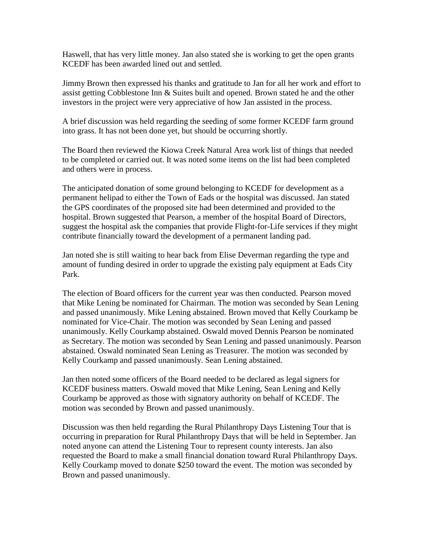Haswell, that has very little money. Jan also stated she is working to get the open grants KCEDF has been awarded lined out and settled.

Jimmy Brown then expressed his thanks and gratitude to Jan for all her work and effort to assist getting Cobblestone Inn & Suites built and opened. Brown stated he and the other investors in the project were very appreciative of how Jan assisted in the process.

A brief discussion was held regarding the seeding of some former KCEDF farm ground into grass. It has not been done yet, but should be occurring shortly.

The Board then reviewed the Kiowa Creek Natural Area work list of things that needed to be completed or carried out. It was noted some items on the list had been completed and others were in process.

The anticipated donation of some ground belonging to KCEDF for development as a permanent helipad to either the Town of Eads or the hospital was discussed. Jan stated the GPS coordinates of the proposed site had been determined and provided to the hospital. Brown suggested that Pearson, a member of the hospital Board of Directors, suggest the hospital ask the companies that provide Flight-for-Life services if they might contribute financially toward the development of a permanent landing pad.

Jan noted she is still waiting to hear back from Elise Deverman regarding the type and amount of funding desired in order to upgrade the existing paly equipment at Eads City Park.

The election of Board officers for the current year was then conducted. Pearson moved that Mike Lening be nominated for Chairman. The motion was seconded by Sean Lening and passed unanimously. Mike Lening abstained. Brown moved that Kelly Courkamp be nominated for Vice-Chair. The motion was seconded by Sean Lening and passed unanimously. Kelly Courkamp abstained. Oswald moved Dennis Pearson be nominated as Secretary. The motion was seconded by Sean Lening and passed unanimously. Pearson abstained. Oswald nominated Sean Lening as Treasurer. The motion was seconded by Kelly Courkamp and passed unanimously. Sean Lening abstained.

Jan then noted some officers of the Board needed to be declared as legal signers for KCEDF business matters. Oswald moved that Mike Lening, Sean Lening and Kelly Courkamp be approved as those with signatory authority on behalf of KCEDF. The motion was seconded by Brown and passed unanimously.

Discussion was then held regarding the Rural Philanthropy Days Listening Tour that is occurring in preparation for Rural Philanthropy Days that will be held in September. Jan noted anyone can attend the Listening Tour to represent county interests. Jan also requested the Board to make a small financial donation toward Rural Philanthropy Days. Kelly Courkamp moved to donate \$250 toward the event. The motion was seconded by Brown and passed unanimously.